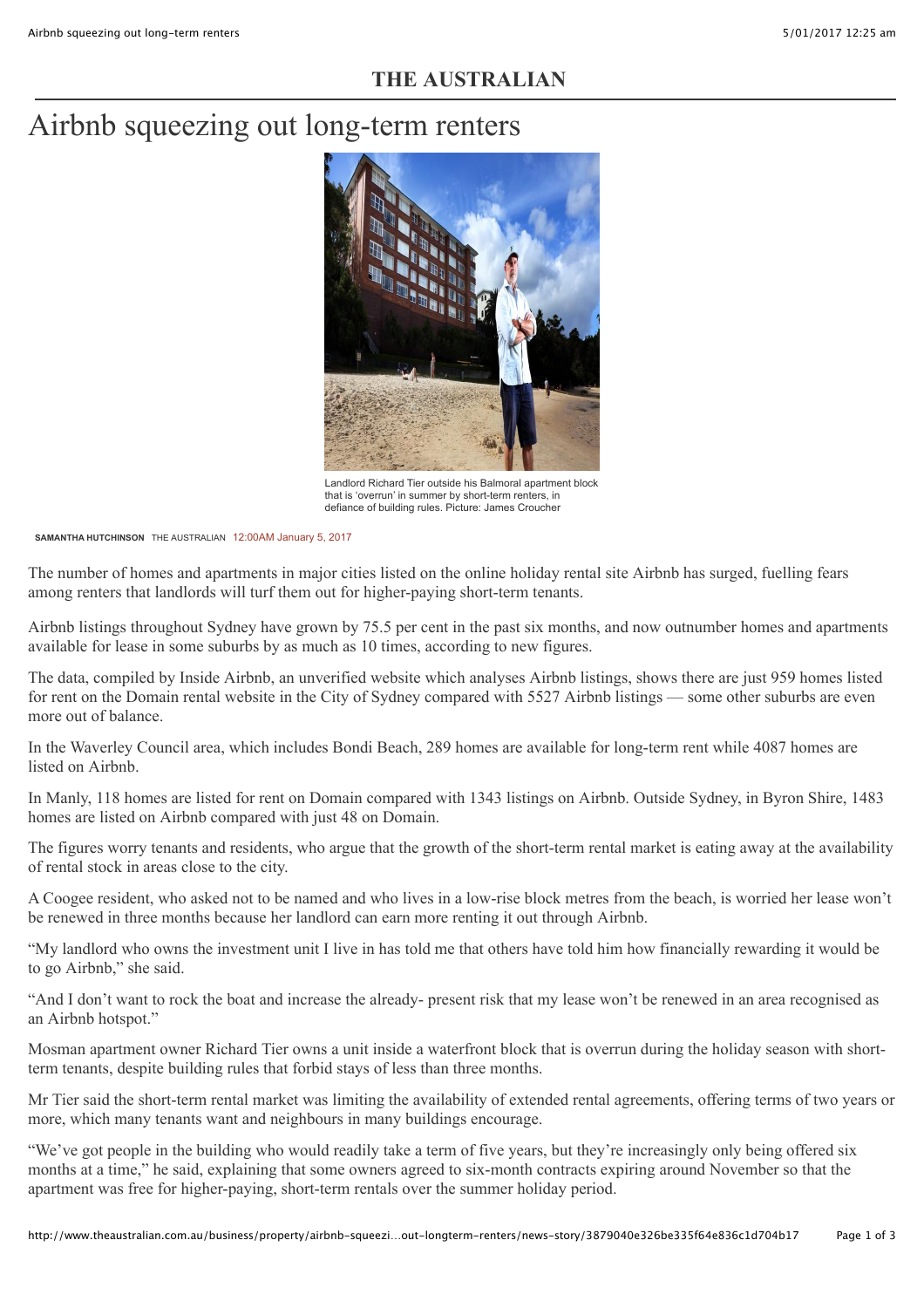## **THE AUSTRALIAN**

# Airbnb squeezing out long-term renters



Landlord Richard Tier outside his Balmoral apartment block that is 'overrun' in summer by short-term renters, in defiance of building rules. Picture: James Croucher

**[SAMANTHA HUTCHINSON](http://www.theaustralian.com.au/author/Samantha+Hutchinson)** THE AUSTRALIAN 12:00AM January 5, 2017

The number of homes and apartments in major cities listed on the online holiday rental site Airbnb has surged, fuelling fears among renters that landlords will turf them out for higher-paying short-term tenants.

Airbnb listings throughout Sydney have grown by 75.5 per cent in the past six months, and now outnumber homes and apartments [available for lease in some suburbs by as much as 10 times, according to new figures.](http://www.theaustralian.com.au/business/property/airbnb-squeezing-out-longterm-renters/news-story/3879040e326be335f64e836c1d704b17#)

The data, compiled by Inside Airbnb, an unverified website which analyses Airbnb listings, shows there are just 959 homes listed for rent on the Domain rental website in the City of Sydney compared with 5527 Airbnb listings — some other suburbs are even more out of balance.

In the Waverley Council area, which includes Bondi Beach, 289 homes are available for long-term rent while 4087 homes are listed on Airbnb.

In Manly, 118 homes are listed for rent on Domain compared with 1343 listings on Airbnb. Outside Sydney, in Byron Shire, 1483 homes are listed on Airbnb compared with just 48 on Domain.

The figures worry tenants and residents, who argue that the growth of the short-term rental market is eating away at the availability of rental stock in areas close to the city.

A Coogee resident, who asked not to be named and who lives in a low-rise block metres from the beach, is worried her lease won't be renewed in three months because her landlord can earn more renting it out through Airbnb.

"My landlord who owns the investment unit I live in has told me that others have told him how financially rewarding it would be to go Airbnb," she said.

"And I don't want to rock the boat and increase the already- present risk that my lease won't be renewed in an area recognised as an Airbnb hotspot."

Mosman apartment owner Richard Tier owns a unit inside a waterfront block that is overrun during the holiday season with shortterm tenants, despite building rules that forbid stays of less than three months.

Mr Tier said the short-term rental market was limiting the availability of extended rental agreements, offering terms of two years or more, which many tenants want and neighbours in many buildings encourage.

"We've got people in the building who would readily take a term of five years, but they're increasingly only being offered six months at a time," he said, explaining that some owners agreed to six-month contracts expiring around November so that the apartment was free for higher-paying, short-term rentals over the summer holiday period.